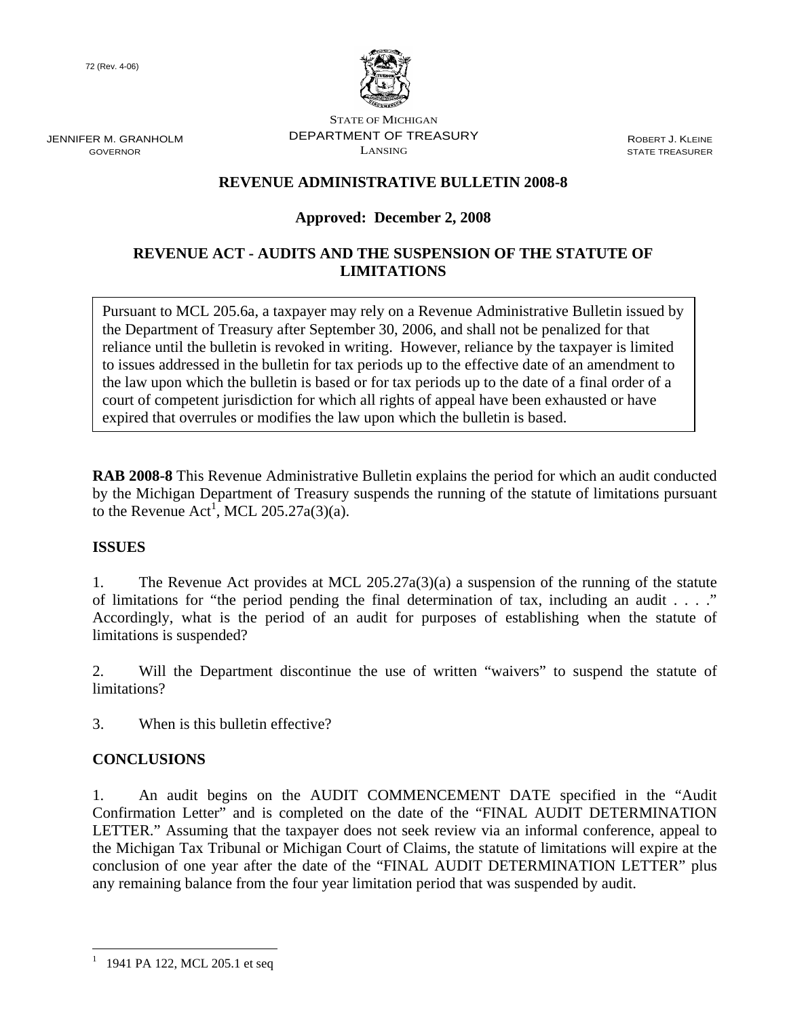72 (Rev. 4-06)



JENNIFER M. GRANHOLM GOVERNOR

STATE OF MICHIGAN DEPARTMENT OF TREASURY LANSING

ROBERT J. KLEINE STATE TREASURER

# **REVENUE ADMINISTRATIVE BULLETIN 2008-8**

# **Approved: December 2, 2008**

# **REVENUE ACT - AUDITS AND THE SUSPENSION OF THE STATUTE OF LIMITATIONS**

Pursuant to MCL 205.6a, a taxpayer may rely on a Revenue Administrative Bulletin issued by the Department of Treasury after September 30, 2006, and shall not be penalized for that reliance until the bulletin is revoked in writing. However, reliance by the taxpayer is limited to issues addressed in the bulletin for tax periods up to the effective date of an amendment to the law upon which the bulletin is based or for tax periods up to the date of a final order of a court of competent jurisdiction for which all rights of appeal have been exhausted or have expired that overrules or modifies the law upon which the bulletin is based.

**RAB 2008-8** This Revenue Administrative Bulletin explains the period for which an audit conducted by the Michigan Department of Treasury suspends the running of the statute of limitations pursuant to the Revenue  $Act^1$ , MCL 205.27a(3)(a).

# **ISSUES**

1. The Revenue Act provides at MCL 205.27a(3)(a) a suspension of the running of the statute of limitations for "the period pending the final determination of tax, including an audit . . . ." Accordingly, what is the period of an audit for purposes of establishing when the statute of limitations is suspended?

2. Will the Department discontinue the use of written "waivers" to suspend the statute of limitations?

3. When is this bulletin effective?

# **CONCLUSIONS**

1. An audit begins on the AUDIT COMMENCEMENT DATE specified in the "Audit Confirmation Letter" and is completed on the date of the "FINAL AUDIT DETERMINATION LETTER." Assuming that the taxpayer does not seek review via an informal conference, appeal to the Michigan Tax Tribunal or Michigan Court of Claims, the statute of limitations will expire at the conclusion of one year after the date of the "FINAL AUDIT DETERMINATION LETTER" plus any remaining balance from the four year limitation period that was suspended by audit.

 $\overline{a}$ 

<sup>&</sup>lt;sup>1</sup> 1941 PA 122, MCL 205.1 et seq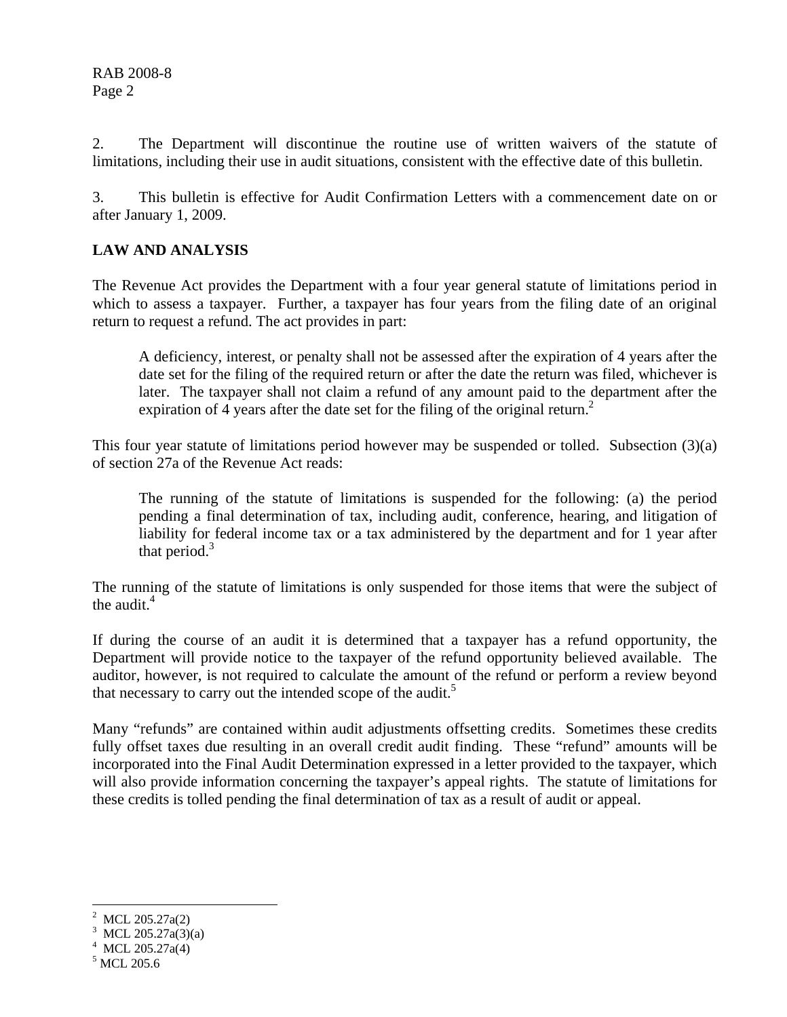2. The Department will discontinue the routine use of written waivers of the statute of limitations, including their use in audit situations, consistent with the effective date of this bulletin.

3. This bulletin is effective for Audit Confirmation Letters with a commencement date on or after January 1, 2009.

### **LAW AND ANALYSIS**

The Revenue Act provides the Department with a four year general statute of limitations period in which to assess a taxpayer. Further, a taxpayer has four years from the filing date of an original return to request a refund. The act provides in part:

 A deficiency, interest, or penalty shall not be assessed after the expiration of 4 years after the date set for the filing of the required return or after the date the return was filed, whichever is later. The taxpayer shall not claim a refund of any amount paid to the department after the expiration of 4 years after the date set for the filing of the original return.<sup>2</sup>

This four year statute of limitations period however may be suspended or tolled. Subsection (3)(a) of section 27a of the Revenue Act reads:

The running of the statute of limitations is suspended for the following: (a) the period pending a final determination of tax, including audit, conference, hearing, and litigation of liability for federal income tax or a tax administered by the department and for 1 year after that period. $3$ 

The running of the statute of limitations is only suspended for those items that were the subject of the audit. $4$ 

If during the course of an audit it is determined that a taxpayer has a refund opportunity, the Department will provide notice to the taxpayer of the refund opportunity believed available. The auditor, however, is not required to calculate the amount of the refund or perform a review beyond that necessary to carry out the intended scope of the audit.<sup>5</sup>

Many "refunds" are contained within audit adjustments offsetting credits. Sometimes these credits fully offset taxes due resulting in an overall credit audit finding. These "refund" amounts will be incorporated into the Final Audit Determination expressed in a letter provided to the taxpayer, which will also provide information concerning the taxpayer's appeal rights. The statute of limitations for these credits is tolled pending the final determination of tax as a result of audit or appeal.

 $\overline{a}$ 

<sup>2</sup> MCL 205.27a(2)

<sup>&</sup>lt;sup>3</sup> MCL 205.27a(3)(a)

 $4$  MCL 205.27a(4)

<sup>5</sup> MCL 205.6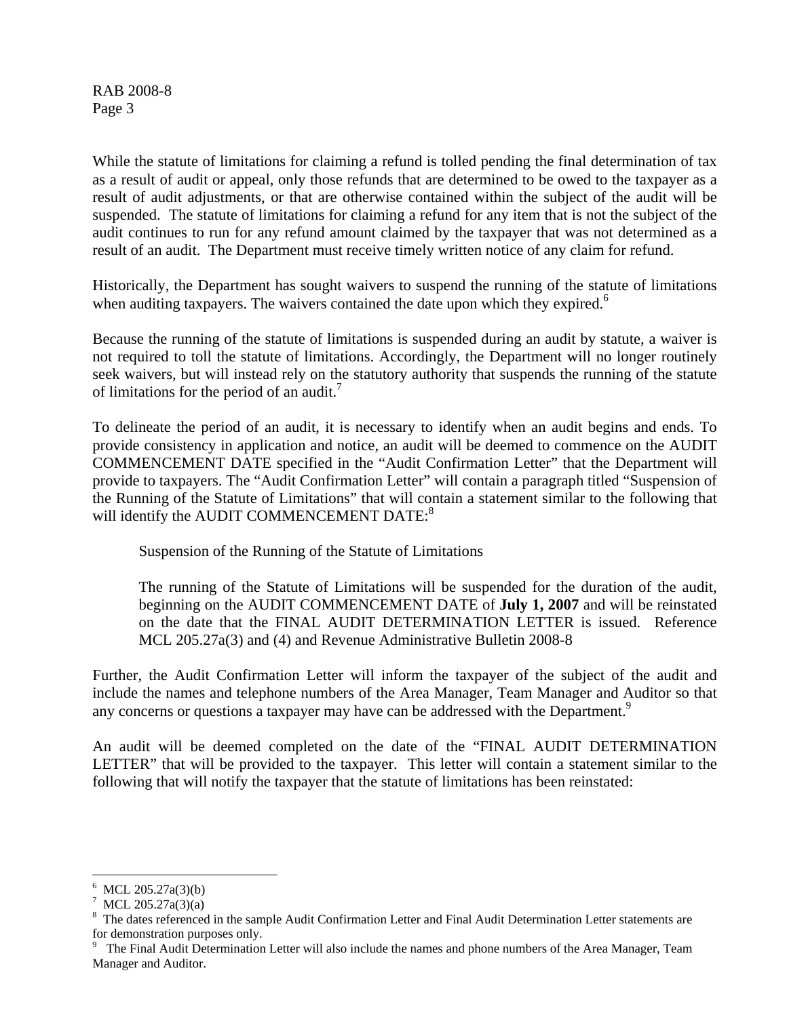RAB 2008-8 Page 3

While the statute of limitations for claiming a refund is tolled pending the final determination of tax as a result of audit or appeal, only those refunds that are determined to be owed to the taxpayer as a result of audit adjustments, or that are otherwise contained within the subject of the audit will be suspended. The statute of limitations for claiming a refund for any item that is not the subject of the audit continues to run for any refund amount claimed by the taxpayer that was not determined as a result of an audit. The Department must receive timely written notice of any claim for refund.

Historically, the Department has sought waivers to suspend the running of the statute of limitations when auditing taxpayers. The waivers contained the date upon which they expired.<sup>6</sup>

Because the running of the statute of limitations is suspended during an audit by statute, a waiver is not required to toll the statute of limitations. Accordingly, the Department will no longer routinely seek waivers, but will instead rely on the statutory authority that suspends the running of the statute of limitations for the period of an audit.<sup>7</sup>

To delineate the period of an audit, it is necessary to identify when an audit begins and ends. To provide consistency in application and notice, an audit will be deemed to commence on the AUDIT COMMENCEMENT DATE specified in the "Audit Confirmation Letter" that the Department will provide to taxpayers. The "Audit Confirmation Letter" will contain a paragraph titled "Suspension of the Running of the Statute of Limitations" that will contain a statement similar to the following that will identify the AUDIT COMMENCEMENT DATE:<sup>8</sup>

Suspension of the Running of the Statute of Limitations

 The running of the Statute of Limitations will be suspended for the duration of the audit, beginning on the AUDIT COMMENCEMENT DATE of **July 1, 2007** and will be reinstated on the date that the FINAL AUDIT DETERMINATION LETTER is issued. Reference MCL 205.27a(3) and (4) and Revenue Administrative Bulletin 2008-8

Further, the Audit Confirmation Letter will inform the taxpayer of the subject of the audit and include the names and telephone numbers of the Area Manager, Team Manager and Auditor so that any concerns or questions a taxpayer may have can be addressed with the Department.<sup>9</sup>

An audit will be deemed completed on the date of the "FINAL AUDIT DETERMINATION LETTER" that will be provided to the taxpayer. This letter will contain a statement similar to the following that will notify the taxpayer that the statute of limitations has been reinstated:

<sup>1</sup> 6 MCL 205.27a(3)(b)

<sup>7</sup> MCL 205.27a(3)(a)

<sup>8</sup> The dates referenced in the sample Audit Confirmation Letter and Final Audit Determination Letter statements are for demonstration purposes only.

<sup>&</sup>lt;sup>9</sup> The Final Audit Determination Letter will also include the names and phone numbers of the Area Manager, Team Manager and Auditor.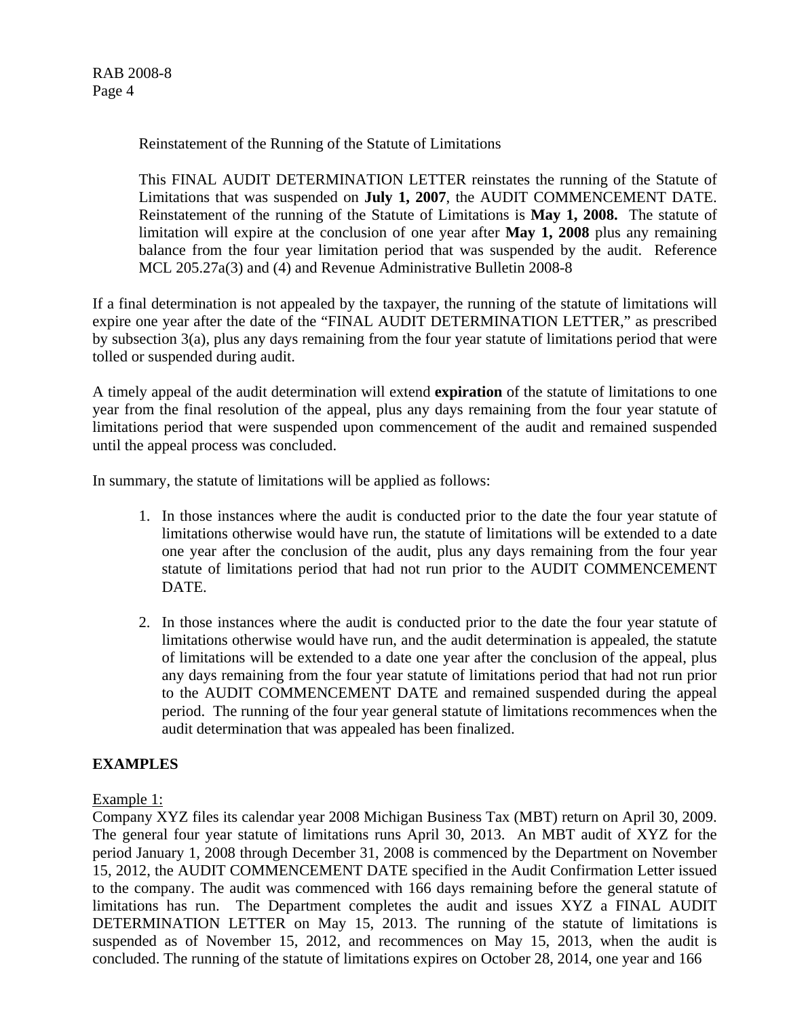RAB 2008-8 Page 4

Reinstatement of the Running of the Statute of Limitations

This FINAL AUDIT DETERMINATION LETTER reinstates the running of the Statute of Limitations that was suspended on **July 1, 2007**, the AUDIT COMMENCEMENT DATE. Reinstatement of the running of the Statute of Limitations is **May 1, 2008.** The statute of limitation will expire at the conclusion of one year after **May 1, 2008** plus any remaining balance from the four year limitation period that was suspended by the audit. Reference MCL 205.27a(3) and (4) and Revenue Administrative Bulletin 2008-8

If a final determination is not appealed by the taxpayer, the running of the statute of limitations will expire one year after the date of the "FINAL AUDIT DETERMINATION LETTER," as prescribed by subsection 3(a), plus any days remaining from the four year statute of limitations period that were tolled or suspended during audit.

A timely appeal of the audit determination will extend **expiration** of the statute of limitations to one year from the final resolution of the appeal, plus any days remaining from the four year statute of limitations period that were suspended upon commencement of the audit and remained suspended until the appeal process was concluded.

In summary, the statute of limitations will be applied as follows:

- 1. In those instances where the audit is conducted prior to the date the four year statute of limitations otherwise would have run, the statute of limitations will be extended to a date one year after the conclusion of the audit, plus any days remaining from the four year statute of limitations period that had not run prior to the AUDIT COMMENCEMENT DATE.
- 2. In those instances where the audit is conducted prior to the date the four year statute of limitations otherwise would have run, and the audit determination is appealed, the statute of limitations will be extended to a date one year after the conclusion of the appeal, plus any days remaining from the four year statute of limitations period that had not run prior to the AUDIT COMMENCEMENT DATE and remained suspended during the appeal period. The running of the four year general statute of limitations recommences when the audit determination that was appealed has been finalized.

### **EXAMPLES**

#### Example 1:

Company XYZ files its calendar year 2008 Michigan Business Tax (MBT) return on April 30, 2009. The general four year statute of limitations runs April 30, 2013. An MBT audit of XYZ for the period January 1, 2008 through December 31, 2008 is commenced by the Department on November 15, 2012, the AUDIT COMMENCEMENT DATE specified in the Audit Confirmation Letter issued to the company. The audit was commenced with 166 days remaining before the general statute of limitations has run. The Department completes the audit and issues XYZ a FINAL AUDIT DETERMINATION LETTER on May 15, 2013. The running of the statute of limitations is suspended as of November 15, 2012, and recommences on May 15, 2013, when the audit is concluded. The running of the statute of limitations expires on October 28, 2014, one year and 166